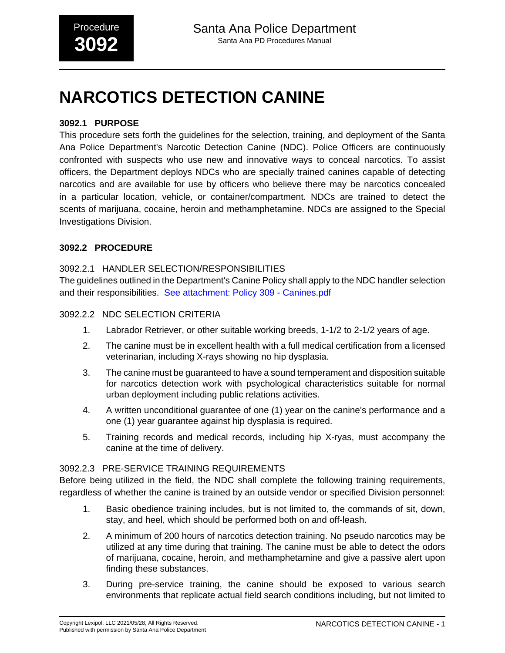# **NARCOTICS DETECTION CANINE**

# **3092.1 PURPOSE**

This procedure sets forth the guidelines for the selection, training, and deployment of the Santa Ana Police Department's Narcotic Detection Canine (NDC). Police Officers are continuously confronted with suspects who use new and innovative ways to conceal narcotics. To assist officers, the Department deploys NDCs who are specially trained canines capable of detecting narcotics and are available for use by officers who believe there may be narcotics concealed in a particular location, vehicle, or container/compartment. NDCs are trained to detect the scents of marijuana, cocaine, heroin and methamphetamine. NDCs are assigned to the Special Investigations Division.

# **3092.2 PROCEDURE**

## 3092.2.1 HANDLER SELECTION/RESPONSIBILITIES

The guidelines outlined in the Department's Canine Policy shall apply to the NDC handler selection and their responsibilities. [See attachment: Policy 309 - Canines.pdf](#page-7-0)

#### 3092.2.2 NDC SELECTION CRITERIA

- 1. Labrador Retriever, or other suitable working breeds, 1-1/2 to 2-1/2 years of age.
- 2. The canine must be in excellent health with a full medical certification from a licensed veterinarian, including X-rays showing no hip dysplasia.
- 3. The canine must be guaranteed to have a sound temperament and disposition suitable for narcotics detection work with psychological characteristics suitable for normal urban deployment including public relations activities.
- 4. A written unconditional guarantee of one (1) year on the canine's performance and a one (1) year guarantee against hip dysplasia is required.
- 5. Training records and medical records, including hip X-ryas, must accompany the canine at the time of delivery.

#### 3092.2.3 PRE-SERVICE TRAINING REQUIREMENTS

Before being utilized in the field, the NDC shall complete the following training requirements, regardless of whether the canine is trained by an outside vendor or specified Division personnel:

- 1. Basic obedience training includes, but is not limited to, the commands of sit, down, stay, and heel, which should be performed both on and off-leash.
- 2. A minimum of 200 hours of narcotics detection training. No pseudo narcotics may be utilized at any time during that training. The canine must be able to detect the odors of marijuana, cocaine, heroin, and methamphetamine and give a passive alert upon finding these substances.
- 3. During pre-service training, the canine should be exposed to various search environments that replicate actual field search conditions including, but not limited to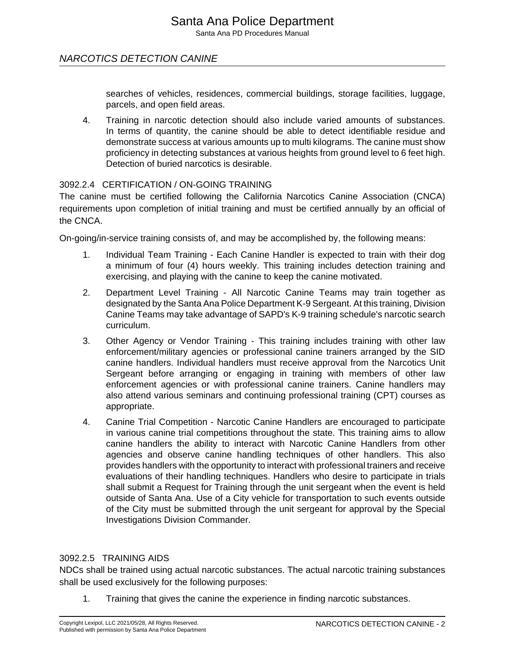# NARCOTICS DETECTION CANINE

searches of vehicles, residences, commercial buildings, storage facilities, luggage, parcels, and open field areas.

4. Training in narcotic detection should also include varied amounts of substances. In terms of quantity, the canine should be able to detect identifiable residue and demonstrate success at various amounts up to multi kilograms. The canine must show proficiency in detecting substances at various heights from ground level to 6 feet high. Detection of buried narcotics is desirable.

# 3092.2.4 CERTIFICATION / ON-GOING TRAINING

The canine must be certified following the California Narcotics Canine Association (CNCA) requirements upon completion of initial training and must be certified annually by an official of the CNCA.

On-going/in-service training consists of, and may be accomplished by, the following means:

- 1. Individual Team Training Each Canine Handler is expected to train with their dog a minimum of four (4) hours weekly. This training includes detection training and exercising, and playing with the canine to keep the canine motivated.
- 2. Department Level Training All Narcotic Canine Teams may train together as designated by the Santa Ana Police Department K-9 Sergeant. At this training, Division Canine Teams may take advantage of SAPD's K-9 training schedule's narcotic search curriculum.
- 3. Other Agency or Vendor Training This training includes training with other law enforcement/military agencies or professional canine trainers arranged by the SID canine handlers. Individual handlers must receive approval from the Narcotics Unit Sergeant before arranging or engaging in training with members of other law enforcement agencies or with professional canine trainers. Canine handlers may also attend various seminars and continuing professional training (CPT) courses as appropriate.
- 4. Canine Trial Competition Narcotic Canine Handlers are encouraged to participate in various canine trial competitions throughout the state. This training aims to allow canine handlers the ability to interact with Narcotic Canine Handlers from other agencies and observe canine handling techniques of other handlers. This also provides handlers with the opportunity to interact with professional trainers and receive evaluations of their handling techniques. Handlers who desire to participate in trials shall submit a Request for Training through the unit sergeant when the event is held outside of Santa Ana. Use of a City vehicle for transportation to such events outside of the City must be submitted through the unit sergeant for approval by the Special Investigations Division Commander.

# 3092.2.5 TRAINING AIDS

NDCs shall be trained using actual narcotic substances. The actual narcotic training substances shall be used exclusively for the following purposes:

1. Training that gives the canine the experience in finding narcotic substances.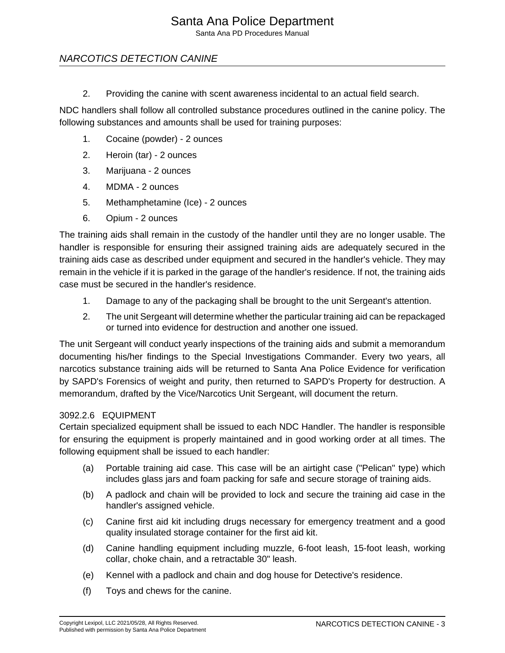Santa Ana PD Procedures Manual

# NARCOTICS DETECTION CANINE

2. Providing the canine with scent awareness incidental to an actual field search.

NDC handlers shall follow all controlled substance procedures outlined in the canine policy. The following substances and amounts shall be used for training purposes:

- 1. Cocaine (powder) 2 ounces
- 2. Heroin (tar) 2 ounces
- 3. Marijuana 2 ounces
- 4. MDMA 2 ounces
- 5. Methamphetamine (Ice) 2 ounces
- 6. Opium 2 ounces

The training aids shall remain in the custody of the handler until they are no longer usable. The handler is responsible for ensuring their assigned training aids are adequately secured in the training aids case as described under equipment and secured in the handler's vehicle. They may remain in the vehicle if it is parked in the garage of the handler's residence. If not, the training aids case must be secured in the handler's residence.

- 1. Damage to any of the packaging shall be brought to the unit Sergeant's attention.
- 2. The unit Sergeant will determine whether the particular training aid can be repackaged or turned into evidence for destruction and another one issued.

The unit Sergeant will conduct yearly inspections of the training aids and submit a memorandum documenting his/her findings to the Special Investigations Commander. Every two years, all narcotics substance training aids will be returned to Santa Ana Police Evidence for verification by SAPD's Forensics of weight and purity, then returned to SAPD's Property for destruction. A memorandum, drafted by the Vice/Narcotics Unit Sergeant, will document the return.

# 3092.2.6 EQUIPMENT

Certain specialized equipment shall be issued to each NDC Handler. The handler is responsible for ensuring the equipment is properly maintained and in good working order at all times. The following equipment shall be issued to each handler:

- (a) Portable training aid case. This case will be an airtight case ("Pelican" type) which includes glass jars and foam packing for safe and secure storage of training aids.
- (b) A padlock and chain will be provided to lock and secure the training aid case in the handler's assigned vehicle.
- (c) Canine first aid kit including drugs necessary for emergency treatment and a good quality insulated storage container for the first aid kit.
- (d) Canine handling equipment including muzzle, 6-foot leash, 15-foot leash, working collar, choke chain, and a retractable 30" leash.
- (e) Kennel with a padlock and chain and dog house for Detective's residence.
- (f) Toys and chews for the canine.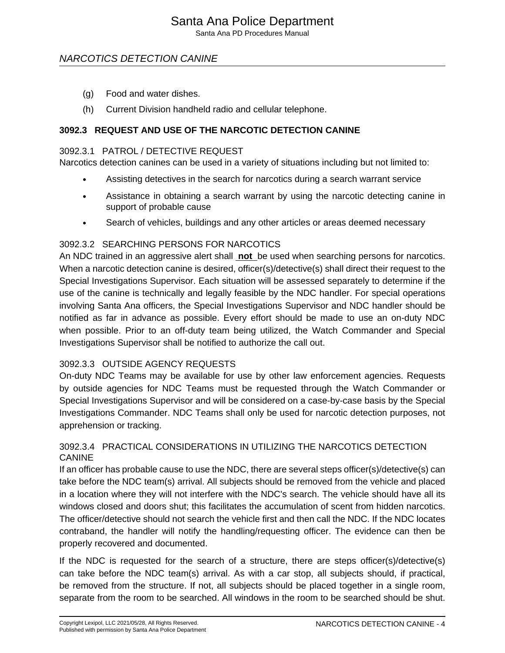# Santa Ana Police Department

Santa Ana PD Procedures Manual

# NARCOTICS DETECTION CANINE

- (g) Food and water dishes.
- (h) Current Division handheld radio and cellular telephone.

# **3092.3 REQUEST AND USE OF THE NARCOTIC DETECTION CANINE**

#### 3092.3.1 PATROL / DETECTIVE REQUEST

Narcotics detection canines can be used in a variety of situations including but not limited to:

- Assisting detectives in the search for narcotics during a search warrant service
- Assistance in obtaining a search warrant by using the narcotic detecting canine in support of probable cause
- Search of vehicles, buildings and any other articles or areas deemed necessary

## 3092.3.2 SEARCHING PERSONS FOR NARCOTICS

An NDC trained in an aggressive alert shall **not** be used when searching persons for narcotics. When a narcotic detection canine is desired, officer(s)/detective(s) shall direct their request to the Special Investigations Supervisor. Each situation will be assessed separately to determine if the use of the canine is technically and legally feasible by the NDC handler. For special operations involving Santa Ana officers, the Special Investigations Supervisor and NDC handler should be notified as far in advance as possible. Every effort should be made to use an on-duty NDC when possible. Prior to an off-duty team being utilized, the Watch Commander and Special Investigations Supervisor shall be notified to authorize the call out.

# 3092.3.3 OUTSIDE AGENCY REQUESTS

On-duty NDC Teams may be available for use by other law enforcement agencies. Requests by outside agencies for NDC Teams must be requested through the Watch Commander or Special Investigations Supervisor and will be considered on a case-by-case basis by the Special Investigations Commander. NDC Teams shall only be used for narcotic detection purposes, not apprehension or tracking.

## 3092.3.4 PRACTICAL CONSIDERATIONS IN UTILIZING THE NARCOTICS DETECTION CANINE

If an officer has probable cause to use the NDC, there are several steps officer(s)/detective(s) can take before the NDC team(s) arrival. All subjects should be removed from the vehicle and placed in a location where they will not interfere with the NDC's search. The vehicle should have all its windows closed and doors shut; this facilitates the accumulation of scent from hidden narcotics. The officer/detective should not search the vehicle first and then call the NDC. If the NDC locates contraband, the handler will notify the handling/requesting officer. The evidence can then be properly recovered and documented.

If the NDC is requested for the search of a structure, there are steps officer(s)/detective(s) can take before the NDC team(s) arrival. As with a car stop, all subjects should, if practical, be removed from the structure. If not, all subjects should be placed together in a single room, separate from the room to be searched. All windows in the room to be searched should be shut.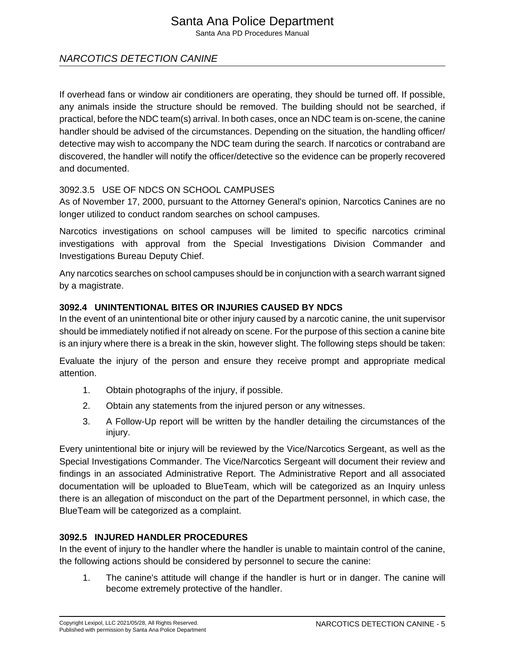# Santa Ana Police Department

Santa Ana PD Procedures Manual

# NARCOTICS DETECTION CANINE

If overhead fans or window air conditioners are operating, they should be turned off. If possible, any animals inside the structure should be removed. The building should not be searched, if practical, before the NDC team(s) arrival. In both cases, once an NDC team is on-scene, the canine handler should be advised of the circumstances. Depending on the situation, the handling officer/ detective may wish to accompany the NDC team during the search. If narcotics or contraband are discovered, the handler will notify the officer/detective so the evidence can be properly recovered and documented.

## 3092.3.5 USE OF NDCS ON SCHOOL CAMPUSES

As of November 17, 2000, pursuant to the Attorney General's opinion, Narcotics Canines are no longer utilized to conduct random searches on school campuses.

Narcotics investigations on school campuses will be limited to specific narcotics criminal investigations with approval from the Special Investigations Division Commander and Investigations Bureau Deputy Chief.

Any narcotics searches on school campuses should be in conjunction with a search warrant signed by a magistrate.

## **3092.4 UNINTENTIONAL BITES OR INJURIES CAUSED BY NDCS**

In the event of an unintentional bite or other injury caused by a narcotic canine, the unit supervisor should be immediately notified if not already on scene. For the purpose of this section a canine bite is an injury where there is a break in the skin, however slight. The following steps should be taken:

Evaluate the injury of the person and ensure they receive prompt and appropriate medical attention.

- 1. Obtain photographs of the injury, if possible.
- 2. Obtain any statements from the injured person or any witnesses.
- 3. A Follow-Up report will be written by the handler detailing the circumstances of the injury.

Every unintentional bite or injury will be reviewed by the Vice/Narcotics Sergeant, as well as the Special Investigations Commander. The Vice/Narcotics Sergeant will document their review and findings in an associated Administrative Report. The Administrative Report and all associated documentation will be uploaded to BlueTeam, which will be categorized as an Inquiry unless there is an allegation of misconduct on the part of the Department personnel, in which case, the BlueTeam will be categorized as a complaint.

# **3092.5 INJURED HANDLER PROCEDURES**

In the event of injury to the handler where the handler is unable to maintain control of the canine, the following actions should be considered by personnel to secure the canine:

1. The canine's attitude will change if the handler is hurt or in danger. The canine will become extremely protective of the handler.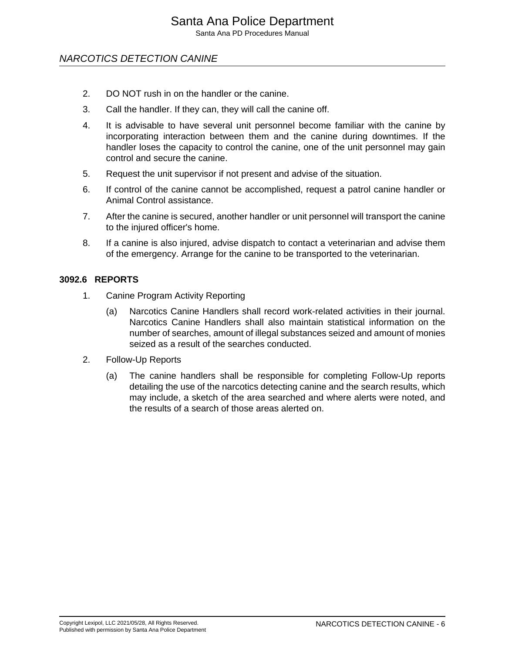Santa Ana PD Procedures Manual

# NARCOTICS DETECTION CANINE

- 2. DO NOT rush in on the handler or the canine.
- 3. Call the handler. If they can, they will call the canine off.
- 4. It is advisable to have several unit personnel become familiar with the canine by incorporating interaction between them and the canine during downtimes. If the handler loses the capacity to control the canine, one of the unit personnel may gain control and secure the canine.
- 5. Request the unit supervisor if not present and advise of the situation.
- 6. If control of the canine cannot be accomplished, request a patrol canine handler or Animal Control assistance.
- 7. After the canine is secured, another handler or unit personnel will transport the canine to the injured officer's home.
- 8. If a canine is also injured, advise dispatch to contact a veterinarian and advise them of the emergency. Arrange for the canine to be transported to the veterinarian.

#### **3092.6 REPORTS**

- 1. Canine Program Activity Reporting
	- (a) Narcotics Canine Handlers shall record work-related activities in their journal. Narcotics Canine Handlers shall also maintain statistical information on the number of searches, amount of illegal substances seized and amount of monies seized as a result of the searches conducted.
- 2. Follow-Up Reports
	- (a) The canine handlers shall be responsible for completing Follow-Up reports detailing the use of the narcotics detecting canine and the search results, which may include, a sketch of the area searched and where alerts were noted, and the results of a search of those areas alerted on.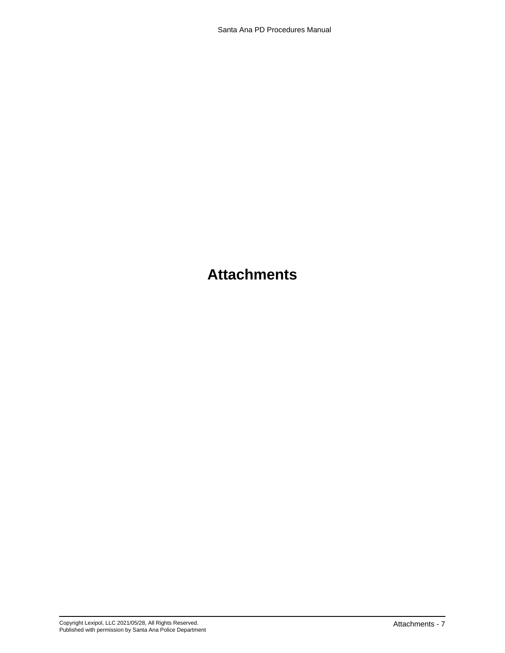# **Attachments**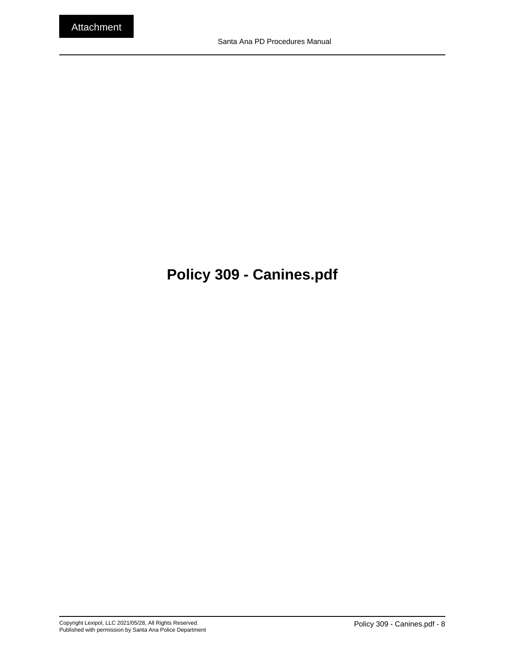# <span id="page-7-0"></span>**Policy 309 - Canines.pdf**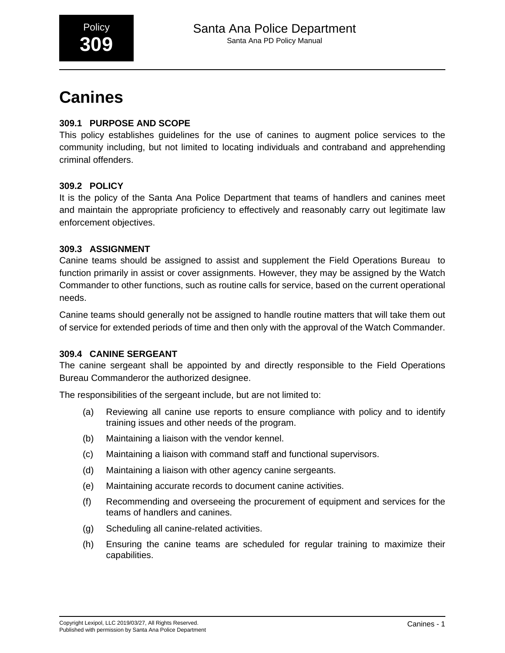# **Canines**

# **309.1 PURPOSE AND SCOPE**

This policy establishes guidelines for the use of canines to augment police services to the community including, but not limited to locating individuals and contraband and apprehending criminal offenders.

# **309.2 POLICY**

It is the policy of the Santa Ana Police Department that teams of handlers and canines meet and maintain the appropriate proficiency to effectively and reasonably carry out legitimate law enforcement objectives.

# **309.3 ASSIGNMENT**

Canine teams should be assigned to assist and supplement the Field Operations Bureau to function primarily in assist or cover assignments. However, they may be assigned by the Watch Commander to other functions, such as routine calls for service, based on the current operational needs.

Canine teams should generally not be assigned to handle routine matters that will take them out of service for extended periods of time and then only with the approval of the Watch Commander.

# **309.4 CANINE SERGEANT**

The canine sergeant shall be appointed by and directly responsible to the Field Operations Bureau Commanderor the authorized designee.

The responsibilities of the sergeant include, but are not limited to:

- (a) Reviewing all canine use reports to ensure compliance with policy and to identify training issues and other needs of the program.
- (b) Maintaining a liaison with the vendor kennel.
- (c) Maintaining a liaison with command staff and functional supervisors.
- (d) Maintaining a liaison with other agency canine sergeants.
- (e) Maintaining accurate records to document canine activities.
- (f) Recommending and overseeing the procurement of equipment and services for the teams of handlers and canines.
- (g) Scheduling all canine-related activities.
- (h) Ensuring the canine teams are scheduled for regular training to maximize their capabilities.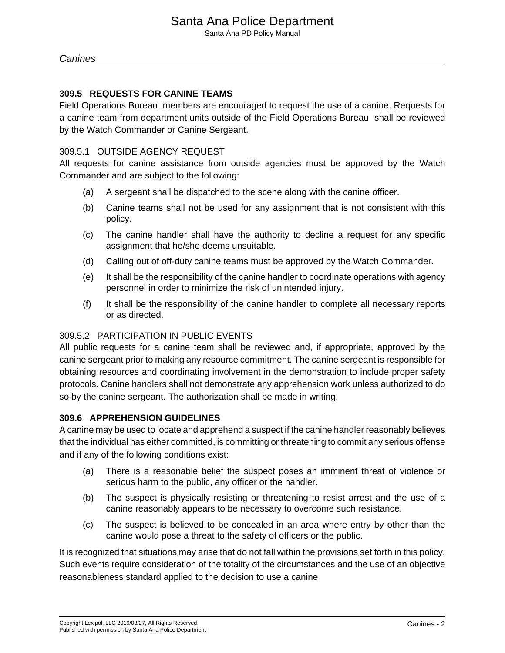Santa Ana PD Policy Manual

#### **309.5 REQUESTS FOR CANINE TEAMS**

Field Operations Bureau members are encouraged to request the use of a canine. Requests for a canine team from department units outside of the Field Operations Bureau shall be reviewed by the Watch Commander or Canine Sergeant.

#### 309.5.1 OUTSIDE AGENCY REQUEST

All requests for canine assistance from outside agencies must be approved by the Watch Commander and are subject to the following:

- (a) A sergeant shall be dispatched to the scene along with the canine officer.
- (b) Canine teams shall not be used for any assignment that is not consistent with this policy.
- (c) The canine handler shall have the authority to decline a request for any specific assignment that he/she deems unsuitable.
- (d) Calling out of off-duty canine teams must be approved by the Watch Commander.
- (e) It shall be the responsibility of the canine handler to coordinate operations with agency personnel in order to minimize the risk of unintended injury.
- (f) It shall be the responsibility of the canine handler to complete all necessary reports or as directed.

### 309.5.2 PARTICIPATION IN PUBLIC EVENTS

All public requests for a canine team shall be reviewed and, if appropriate, approved by the canine sergeant prior to making any resource commitment. The canine sergeant is responsible for obtaining resources and coordinating involvement in the demonstration to include proper safety protocols. Canine handlers shall not demonstrate any apprehension work unless authorized to do so by the canine sergeant. The authorization shall be made in writing.

#### **309.6 APPREHENSION GUIDELINES**

A canine may be used to locate and apprehend a suspect if the canine handler reasonably believes that the individual has either committed, is committing or threatening to commit any serious offense and if any of the following conditions exist:

- (a) There is a reasonable belief the suspect poses an imminent threat of violence or serious harm to the public, any officer or the handler.
- (b) The suspect is physically resisting or threatening to resist arrest and the use of a canine reasonably appears to be necessary to overcome such resistance.
- (c) The suspect is believed to be concealed in an area where entry by other than the canine would pose a threat to the safety of officers or the public.

It is recognized that situations may arise that do not fall within the provisions set forth in this policy. Such events require consideration of the totality of the circumstances and the use of an objective reasonableness standard applied to the decision to use a canine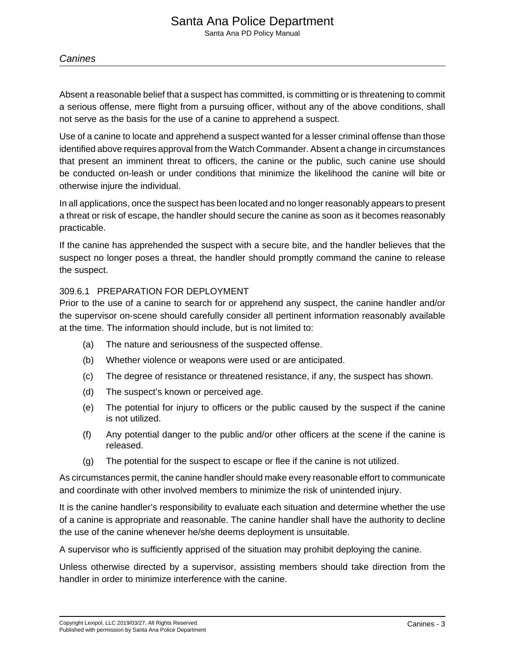#### **Canines**

Absent a reasonable belief that a suspect has committed, is committing or is threatening to commit a serious offense, mere flight from a pursuing officer, without any of the above conditions, shall not serve as the basis for the use of a canine to apprehend a suspect.

Use of a canine to locate and apprehend a suspect wanted for a lesser criminal offense than those identified above requires approval from the Watch Commander. Absent a change in circumstances that present an imminent threat to officers, the canine or the public, such canine use should be conducted on-leash or under conditions that minimize the likelihood the canine will bite or otherwise injure the individual.

In all applications, once the suspect has been located and no longer reasonably appears to present a threat or risk of escape, the handler should secure the canine as soon as it becomes reasonably practicable.

If the canine has apprehended the suspect with a secure bite, and the handler believes that the suspect no longer poses a threat, the handler should promptly command the canine to release the suspect.

#### 309.6.1 PREPARATION FOR DEPLOYMENT

Prior to the use of a canine to search for or apprehend any suspect, the canine handler and/or the supervisor on-scene should carefully consider all pertinent information reasonably available at the time. The information should include, but is not limited to:

- (a) The nature and seriousness of the suspected offense.
- (b) Whether violence or weapons were used or are anticipated.
- (c) The degree of resistance or threatened resistance, if any, the suspect has shown.
- (d) The suspect's known or perceived age.
- (e) The potential for injury to officers or the public caused by the suspect if the canine is not utilized.
- (f) Any potential danger to the public and/or other officers at the scene if the canine is released.
- (g) The potential for the suspect to escape or flee if the canine is not utilized.

As circumstances permit, the canine handler should make every reasonable effort to communicate and coordinate with other involved members to minimize the risk of unintended injury.

It is the canine handler's responsibility to evaluate each situation and determine whether the use of a canine is appropriate and reasonable. The canine handler shall have the authority to decline the use of the canine whenever he/she deems deployment is unsuitable.

A supervisor who is sufficiently apprised of the situation may prohibit deploying the canine.

Unless otherwise directed by a supervisor, assisting members should take direction from the handler in order to minimize interference with the canine.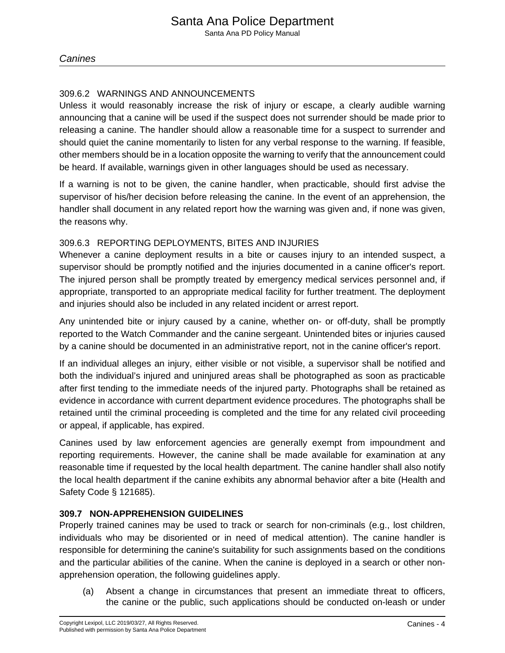# 309.6.2 WARNINGS AND ANNOUNCEMENTS

Unless it would reasonably increase the risk of injury or escape, a clearly audible warning announcing that a canine will be used if the suspect does not surrender should be made prior to releasing a canine. The handler should allow a reasonable time for a suspect to surrender and should quiet the canine momentarily to listen for any verbal response to the warning. If feasible, other members should be in a location opposite the warning to verify that the announcement could be heard. If available, warnings given in other languages should be used as necessary.

If a warning is not to be given, the canine handler, when practicable, should first advise the supervisor of his/her decision before releasing the canine. In the event of an apprehension, the handler shall document in any related report how the warning was given and, if none was given, the reasons why.

## 309.6.3 REPORTING DEPLOYMENTS, BITES AND INJURIES

Whenever a canine deployment results in a bite or causes injury to an intended suspect, a supervisor should be promptly notified and the injuries documented in a canine officer's report. The injured person shall be promptly treated by emergency medical services personnel and, if appropriate, transported to an appropriate medical facility for further treatment. The deployment and injuries should also be included in any related incident or arrest report.

Any unintended bite or injury caused by a canine, whether on- or off-duty, shall be promptly reported to the Watch Commander and the canine sergeant. Unintended bites or injuries caused by a canine should be documented in an administrative report, not in the canine officer's report.

If an individual alleges an injury, either visible or not visible, a supervisor shall be notified and both the individual's injured and uninjured areas shall be photographed as soon as practicable after first tending to the immediate needs of the injured party. Photographs shall be retained as evidence in accordance with current department evidence procedures. The photographs shall be retained until the criminal proceeding is completed and the time for any related civil proceeding or appeal, if applicable, has expired.

Canines used by law enforcement agencies are generally exempt from impoundment and reporting requirements. However, the canine shall be made available for examination at any reasonable time if requested by the local health department. The canine handler shall also notify the local health department if the canine exhibits any abnormal behavior after a bite (Health and Safety Code § 121685).

# **309.7 NON-APPREHENSION GUIDELINES**

Properly trained canines may be used to track or search for non-criminals (e.g., lost children, individuals who may be disoriented or in need of medical attention). The canine handler is responsible for determining the canine's suitability for such assignments based on the conditions and the particular abilities of the canine. When the canine is deployed in a search or other nonapprehension operation, the following guidelines apply.

(a) Absent a change in circumstances that present an immediate threat to officers, the canine or the public, such applications should be conducted on-leash or under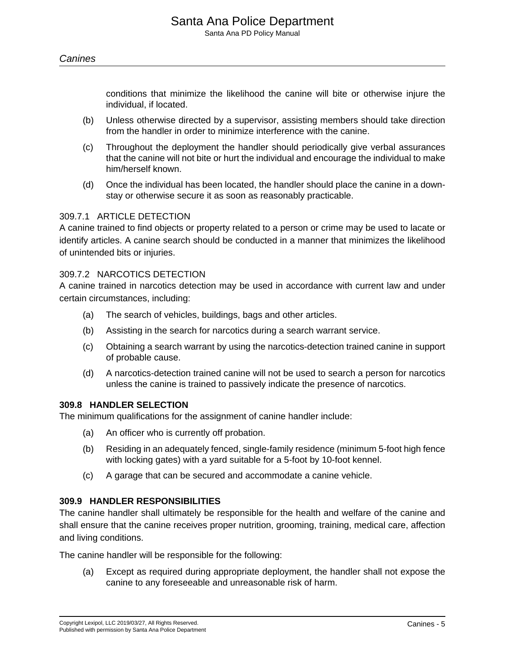conditions that minimize the likelihood the canine will bite or otherwise injure the individual, if located.

- (b) Unless otherwise directed by a supervisor, assisting members should take direction from the handler in order to minimize interference with the canine.
- (c) Throughout the deployment the handler should periodically give verbal assurances that the canine will not bite or hurt the individual and encourage the individual to make him/herself known.
- (d) Once the individual has been located, the handler should place the canine in a downstay or otherwise secure it as soon as reasonably practicable.

#### 309.7.1 ARTICLE DETECTION

A canine trained to find objects or property related to a person or crime may be used to lacate or identify articles. A canine search should be conducted in a manner that minimizes the likelihood of unintended bits or injuries.

#### 309.7.2 NARCOTICS DETECTION

A canine trained in narcotics detection may be used in accordance with current law and under certain circumstances, including:

- (a) The search of vehicles, buildings, bags and other articles.
- (b) Assisting in the search for narcotics during a search warrant service.
- (c) Obtaining a search warrant by using the narcotics-detection trained canine in support of probable cause.
- (d) A narcotics-detection trained canine will not be used to search a person for narcotics unless the canine is trained to passively indicate the presence of narcotics.

#### **309.8 HANDLER SELECTION**

The minimum qualifications for the assignment of canine handler include:

- (a) An officer who is currently off probation.
- (b) Residing in an adequately fenced, single-family residence (minimum 5-foot high fence with locking gates) with a yard suitable for a 5-foot by 10-foot kennel.
- (c) A garage that can be secured and accommodate a canine vehicle.

#### **309.9 HANDLER RESPONSIBILITIES**

The canine handler shall ultimately be responsible for the health and welfare of the canine and shall ensure that the canine receives proper nutrition, grooming, training, medical care, affection and living conditions.

The canine handler will be responsible for the following:

(a) Except as required during appropriate deployment, the handler shall not expose the canine to any foreseeable and unreasonable risk of harm.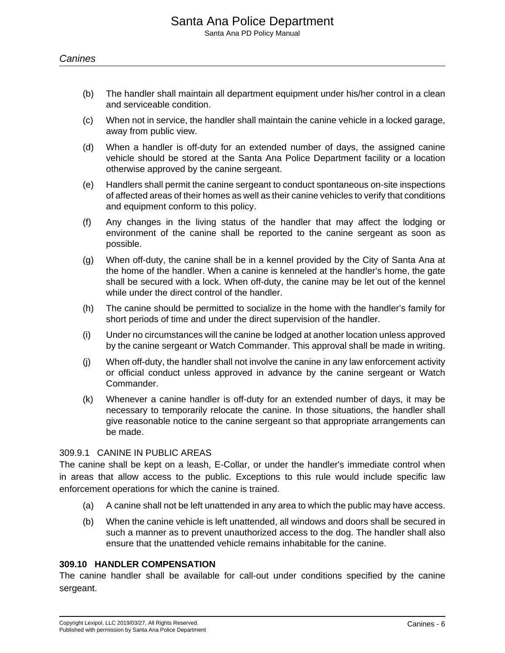- (b) The handler shall maintain all department equipment under his/her control in a clean and serviceable condition.
- (c) When not in service, the handler shall maintain the canine vehicle in a locked garage, away from public view.
- (d) When a handler is off-duty for an extended number of days, the assigned canine vehicle should be stored at the Santa Ana Police Department facility or a location otherwise approved by the canine sergeant.
- (e) Handlers shall permit the canine sergeant to conduct spontaneous on-site inspections of affected areas of their homes as well as their canine vehicles to verify that conditions and equipment conform to this policy.
- (f) Any changes in the living status of the handler that may affect the lodging or environment of the canine shall be reported to the canine sergeant as soon as possible.
- (g) When off-duty, the canine shall be in a kennel provided by the City of Santa Ana at the home of the handler. When a canine is kenneled at the handler's home, the gate shall be secured with a lock. When off-duty, the canine may be let out of the kennel while under the direct control of the handler.
- (h) The canine should be permitted to socialize in the home with the handler's family for short periods of time and under the direct supervision of the handler.
- (i) Under no circumstances will the canine be lodged at another location unless approved by the canine sergeant or Watch Commander. This approval shall be made in writing.
- (j) When off-duty, the handler shall not involve the canine in any law enforcement activity or official conduct unless approved in advance by the canine sergeant or Watch Commander.
- (k) Whenever a canine handler is off-duty for an extended number of days, it may be necessary to temporarily relocate the canine. In those situations, the handler shall give reasonable notice to the canine sergeant so that appropriate arrangements can be made.

#### 309.9.1 CANINE IN PUBLIC AREAS

The canine shall be kept on a leash, E-Collar, or under the handler's immediate control when in areas that allow access to the public. Exceptions to this rule would include specific law enforcement operations for which the canine is trained.

- (a) A canine shall not be left unattended in any area to which the public may have access.
- (b) When the canine vehicle is left unattended, all windows and doors shall be secured in such a manner as to prevent unauthorized access to the dog. The handler shall also ensure that the unattended vehicle remains inhabitable for the canine.

#### **309.10 HANDLER COMPENSATION**

The canine handler shall be available for call-out under conditions specified by the canine sergeant.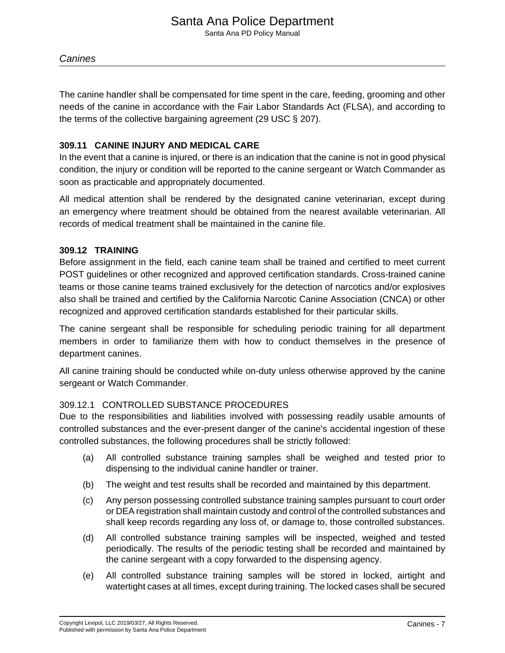Santa Ana PD Policy Manual

#### **Canines**

The canine handler shall be compensated for time spent in the care, feeding, grooming and other needs of the canine in accordance with the Fair Labor Standards Act (FLSA), and according to the terms of the collective bargaining agreement (29 USC § 207).

### **309.11 CANINE INJURY AND MEDICAL CARE**

In the event that a canine is injured, or there is an indication that the canine is not in good physical condition, the injury or condition will be reported to the canine sergeant or Watch Commander as soon as practicable and appropriately documented.

All medical attention shall be rendered by the designated canine veterinarian, except during an emergency where treatment should be obtained from the nearest available veterinarian. All records of medical treatment shall be maintained in the canine file.

#### **309.12 TRAINING**

Before assignment in the field, each canine team shall be trained and certified to meet current POST guidelines or other recognized and approved certification standards. Cross-trained canine teams or those canine teams trained exclusively for the detection of narcotics and/or explosives also shall be trained and certified by the California Narcotic Canine Association (CNCA) or other recognized and approved certification standards established for their particular skills.

The canine sergeant shall be responsible for scheduling periodic training for all department members in order to familiarize them with how to conduct themselves in the presence of department canines.

All canine training should be conducted while on-duty unless otherwise approved by the canine sergeant or Watch Commander.

### 309.12.1 CONTROLLED SUBSTANCE PROCEDURES

Due to the responsibilities and liabilities involved with possessing readily usable amounts of controlled substances and the ever-present danger of the canine's accidental ingestion of these controlled substances, the following procedures shall be strictly followed:

- (a) All controlled substance training samples shall be weighed and tested prior to dispensing to the individual canine handler or trainer.
- (b) The weight and test results shall be recorded and maintained by this department.
- (c) Any person possessing controlled substance training samples pursuant to court order or DEA registration shall maintain custody and control of the controlled substances and shall keep records regarding any loss of, or damage to, those controlled substances.
- (d) All controlled substance training samples will be inspected, weighed and tested periodically. The results of the periodic testing shall be recorded and maintained by the canine sergeant with a copy forwarded to the dispensing agency.
- (e) All controlled substance training samples will be stored in locked, airtight and watertight cases at all times, except during training. The locked cases shall be secured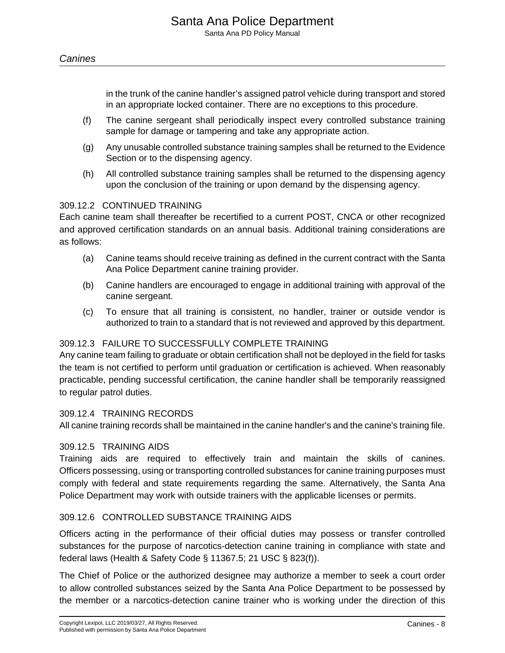in the trunk of the canine handler's assigned patrol vehicle during transport and stored in an appropriate locked container. There are no exceptions to this procedure.

- (f) The canine sergeant shall periodically inspect every controlled substance training sample for damage or tampering and take any appropriate action.
- (g) Any unusable controlled substance training samples shall be returned to the Evidence Section or to the dispensing agency.
- (h) All controlled substance training samples shall be returned to the dispensing agency upon the conclusion of the training or upon demand by the dispensing agency.

#### 309.12.2 CONTINUED TRAINING

Each canine team shall thereafter be recertified to a current POST, CNCA or other recognized and approved certification standards on an annual basis. Additional training considerations are as follows:

- (a) Canine teams should receive training as defined in the current contract with the Santa Ana Police Department canine training provider.
- (b) Canine handlers are encouraged to engage in additional training with approval of the canine sergeant.
- (c) To ensure that all training is consistent, no handler, trainer or outside vendor is authorized to train to a standard that is not reviewed and approved by this department.

#### 309.12.3 FAILURE TO SUCCESSFULLY COMPLETE TRAINING

Any canine team failing to graduate or obtain certification shall not be deployed in the field for tasks the team is not certified to perform until graduation or certification is achieved. When reasonably practicable, pending successful certification, the canine handler shall be temporarily reassigned to regular patrol duties.

#### 309.12.4 TRAINING RECORDS

All canine training records shall be maintained in the canine handler's and the canine's training file.

#### 309.12.5 TRAINING AIDS

Training aids are required to effectively train and maintain the skills of canines. Officers possessing, using or transporting controlled substances for canine training purposes must comply with federal and state requirements regarding the same. Alternatively, the Santa Ana Police Department may work with outside trainers with the applicable licenses or permits.

### 309.12.6 CONTROLLED SUBSTANCE TRAINING AIDS

Officers acting in the performance of their official duties may possess or transfer controlled substances for the purpose of narcotics-detection canine training in compliance with state and federal laws (Health & Safety Code § 11367.5; 21 USC § 823(f)).

The Chief of Police or the authorized designee may authorize a member to seek a court order to allow controlled substances seized by the Santa Ana Police Department to be possessed by the member or a narcotics-detection canine trainer who is working under the direction of this